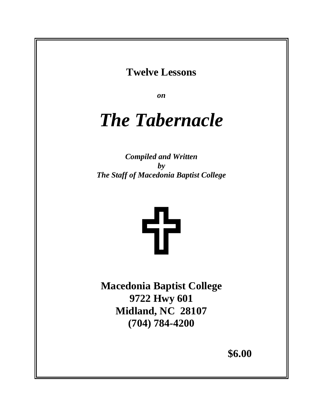**Twelve Lessons** 

*on*

# *The Tabernacle*

*Compiled and Written by The Staff of Macedonia Baptist College*



**Macedonia Baptist College 9722 Hwy 601 Midland, NC 28107 (704) 784-4200** 

**\$6.00**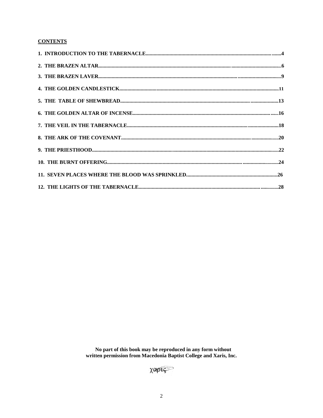# **CONTENTS**

No part of this book may be reproduced in any form without written permission from Macedonia Baptist College and Xaris, Inc.

XOPIS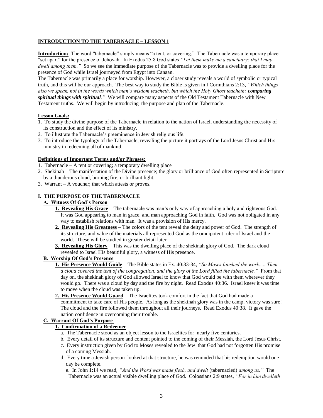#### **INTRODUCTION TO THE TABERNACLE – LESSON 1**

**Introduction:** The word "tabernacle" simply means "a tent, or covering." The Tabernacle was a temporary place "set apart" for the presence of Jehovah. In Exodus 25:8 God states *"Let them make me a sanctuary; that I may dwell among them."* So we see the immediate purpose of the Tabernacle was to provide a dwelling place for the presence of God while Israel journeyed from Egypt into Canaan.

The Tabernacle was primarily a place for worship. However, a closer study reveals a world of symbolic or typical truth, and this will be our approach. The best way to study the Bible is given in I Corinthians 2:13, *"Which things also we speak, not in the words which man's wisdom teacheth, but which the Holy Ghost teacheth; comparing spiritual things with spiritual."* We will compare many aspects of the Old Testament Tabernacle with New Testament truths. We will begin by introducing the purpose and plan of the Tabernacle.

#### **Lesson Goals:**

- 1. To study the divine purpose of the Tabernacle in relation to the nation of Israel, understanding the necessity of its construction and the effect of its ministry.
- 2. To illustrate the Tabernacle's preeminence in Jewish religious life.
- 3. To introduce the typology of the Tabernacle, revealing the picture it portrays of the Lord Jesus Christ and His ministry in redeeming all of mankind.

#### **Definitions of Important Terms and/or Phrases:**

- 1. Tabernacle A tent or covering; a temporary dwelling place
- 2. Shekinah The manifestation of the Divine presence; the glory or brilliance of God often represented in Scripture by a thunderous cloud, burning fire, or brilliant light.
- 3. Warrant A voucher; that which attests or proves.

#### **I. THE PURPOSE OF THE TABERNACLE**

# **A. Witness Of God's Person**

- **1. Revealing His Grace** The tabernacle was man's only way of approaching a holy and righteous God. It was God appearing to man in grace, and man approaching God in faith. God was not obligated in any way to establish relations with man. It was a provision of His mercy.
- **2. Revealing His Greatness** The colors of the tent reveal the deity and power of God. The strength of its structure, and value of the materials all represented God as the omnipotent ruler of Israel and the world. These will be studied in greater detail later.
- **3. Revealing His Glory** This was the dwelling place of the shekinah glory of God. The dark cloud revealed to Israel His beautiful glory, a witness of His presence.

## **B. Worship Of God's Presence**

 **1. His Presence Would Guide** – The Bible states in Ex. 40:33-34, *"So Moses finished the work..... Then a cloud covered the tent of the congregation, and the glory of the Lord filled the tabernacle."* From that day on, the shekinah glory of God allowed Israel to know that God would be with them wherever they would go. There was a cloud by day and the fire by night. Read Exodus 40:36. Israel knew it was time to move when the cloud was taken up.

## **2. His Presence Would Guard** – The Israelites took comfort in the fact that God had made a

 commitment to take care of His people. As long as the shekinah glory was in the camp, victory was sure! The cloud and the fire followed them throughout all their journeys. Read Exodus 40:38. It gave the nation confidence in overcoming their trouble.

#### **C. Warrant Of God's Purpose**

#### **1. Confirmation of a Redeemer**

- a. The Tabernacle stood as an object lesson to the Israelites for nearly five centuries.
- b. Every detail of its structure and content pointed to the coming of their Messiah, the Lord Jesus Christ.
- c. Every instruction given by God to Moses revealed to the Jew that God had not forgotten His promise of a coming Messiah.
- d. Every time a Jewish person looked at that structure, he was reminded that his redemption would one day be complete.
	- e. In John 1:14 we read, *"And the Word was made flesh, and dwelt* (tabernacled) *among us."* The Tabernacle was an actual visible dwelling place of God. Colossians 2:9 states, *"For in him dwelleth*